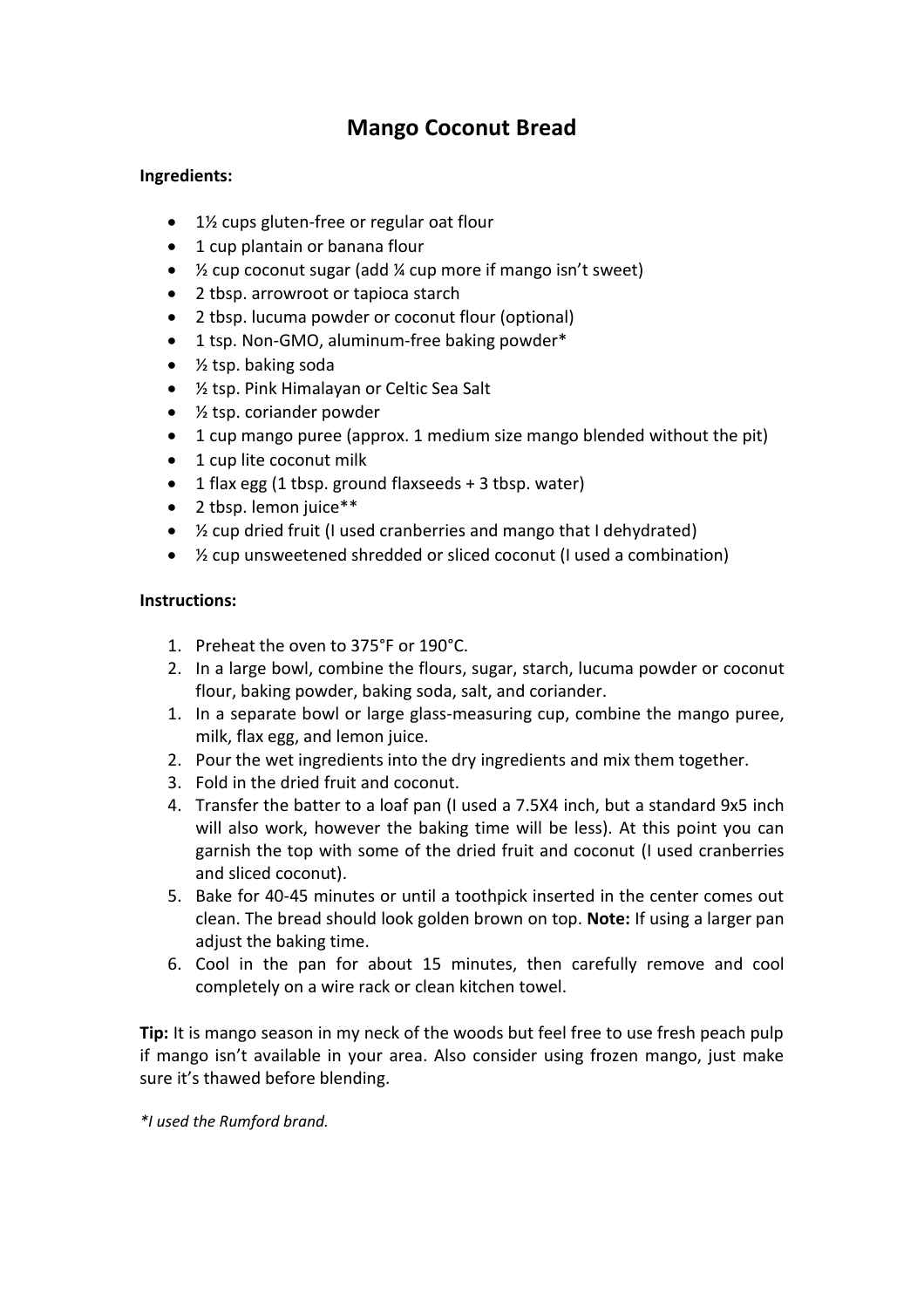## **Mango Coconut Bread**

## **Ingredients:**

- 1½ cups gluten-free or regular oat flour
- 1 cup plantain or banana flour
- $\frac{1}{2}$  cup coconut sugar (add  $\frac{1}{4}$  cup more if mango isn't sweet)
- 2 tbsp. arrowroot or tapioca starch
- 2 tbsp. lucuma powder or coconut flour (optional)
- 1 tsp. Non-GMO, aluminum-free baking powder\*
- ½ tsp. baking soda
- ½ tsp. Pink Himalayan or Celtic Sea Salt
- 1/<sub>2</sub> tsp. coriander powder
- 1 cup mango puree (approx. 1 medium size mango blended without the pit)
- 1 cup lite coconut milk
- 1 flax egg (1 tbsp. ground flaxseeds + 3 tbsp. water)
- 2 tbsp. lemon juice\*\*
- ½ cup dried fruit (I used cranberries and mango that I dehydrated)
- ½ cup unsweetened shredded or sliced coconut (I used a combination)

## **Instructions:**

- 1. Preheat the oven to 375°F or 190°C.
- 2. In a large bowl, combine the flours, sugar, starch, lucuma powder or coconut flour, baking powder, baking soda, salt, and coriander.
- 1. In a separate bowl or large glass-measuring cup, combine the mango puree, milk, flax egg, and lemon juice.
- 2. Pour the wet ingredients into the dry ingredients and mix them together.
- 3. Fold in the dried fruit and coconut.
- 4. Transfer the batter to a loaf pan (I used a 7.5X4 inch, but a standard 9x5 inch will also work, however the baking time will be less). At this point you can garnish the top with some of the dried fruit and coconut (I used cranberries and sliced coconut).
- 5. Bake for 40-45 minutes or until a toothpick inserted in the center comes out clean. The bread should look golden brown on top. **Note:** If using a larger pan adjust the baking time.
- 6. Cool in the pan for about 15 minutes, then carefully remove and cool completely on a wire rack or clean kitchen towel.

**Tip:** It is mango season in my neck of the woods but feel free to use fresh peach pulp if mango isn't available in your area. Also consider using frozen mango, just make sure it's thawed before blending.

*\*I used the Rumford brand.*